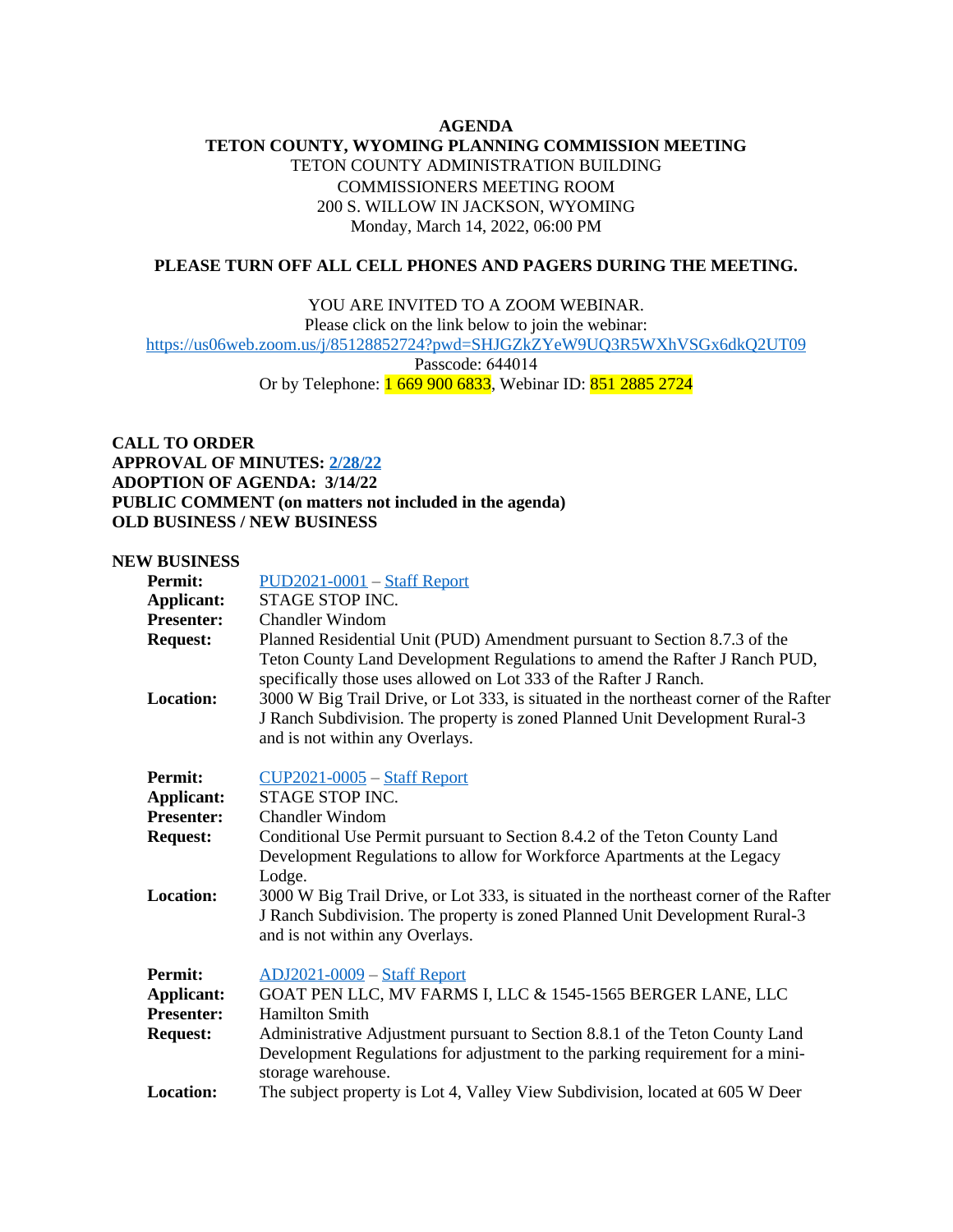## **AGENDA TETON COUNTY, WYOMING PLANNING COMMISSION MEETING** TETON COUNTY ADMINISTRATION BUILDING COMMISSIONERS MEETING ROOM 200 S. WILLOW IN JACKSON, WYOMING Monday, March 14, 2022, 06:00 PM

## **PLEASE TURN OFF ALL CELL PHONES AND PAGERS DURING THE MEETING.**

YOU ARE INVITED TO A ZOOM WEBINAR.

Please click on the link below to join the webinar:

<https://us06web.zoom.us/j/85128852724?pwd=SHJGZkZYeW9UQ3R5WXhVSGx6dkQ2UT09>

Passcode: 644014

Or by Telephone: 1 669 900 6833, Webinar ID: 851 2885 2724

**CALL TO ORDER APPROVAL OF MINUTES: [2/28/22](https://www.tetoncountywy.gov/DocumentCenter/View/21515/22822-PC-Minute-Sheet) ADOPTION OF AGENDA: 3/14/22 PUBLIC COMMENT (on matters not included in the agenda) OLD BUSINESS / NEW BUSINESS**

## **NEW BUSINESS**

| <b>Permit:</b>    | $PUD2021-0001$ – Staff Report                                                                                                                                                                                                |
|-------------------|------------------------------------------------------------------------------------------------------------------------------------------------------------------------------------------------------------------------------|
| Applicant:        | STAGE STOP INC.                                                                                                                                                                                                              |
| <b>Presenter:</b> | Chandler Windom                                                                                                                                                                                                              |
| <b>Request:</b>   | Planned Residential Unit (PUD) Amendment pursuant to Section 8.7.3 of the<br>Teton County Land Development Regulations to amend the Rafter J Ranch PUD,<br>specifically those uses allowed on Lot 333 of the Rafter J Ranch. |
| <b>Location:</b>  | 3000 W Big Trail Drive, or Lot 333, is situated in the northeast corner of the Rafter<br>J Ranch Subdivision. The property is zoned Planned Unit Development Rural-3<br>and is not within any Overlays.                      |
| <b>Permit:</b>    | $CUP2021-0005 - Staff Report$                                                                                                                                                                                                |
| Applicant:        | STAGE STOP INC.                                                                                                                                                                                                              |
| <b>Presenter:</b> | <b>Chandler Windom</b>                                                                                                                                                                                                       |
| <b>Request:</b>   | Conditional Use Permit pursuant to Section 8.4.2 of the Teton County Land<br>Development Regulations to allow for Workforce Apartments at the Legacy<br>Lodge.                                                               |
| <b>Location:</b>  | 3000 W Big Trail Drive, or Lot 333, is situated in the northeast corner of the Rafter<br>J Ranch Subdivision. The property is zoned Planned Unit Development Rural-3<br>and is not within any Overlays.                      |
| <b>Permit:</b>    | <u> ADJ2021-0009</u> – Staff Report                                                                                                                                                                                          |
| Applicant:        | GOAT PEN LLC, MV FARMS I, LLC & 1545-1565 BERGER LANE, LLC                                                                                                                                                                   |
| <b>Presenter:</b> | <b>Hamilton Smith</b>                                                                                                                                                                                                        |
| <b>Request:</b>   | Administrative Adjustment pursuant to Section 8.8.1 of the Teton County Land<br>Development Regulations for adjustment to the parking requirement for a mini-<br>storage warehouse.                                          |
| <b>Location:</b>  | The subject property is Lot 4, Valley View Subdivision, located at 605 W Deer                                                                                                                                                |